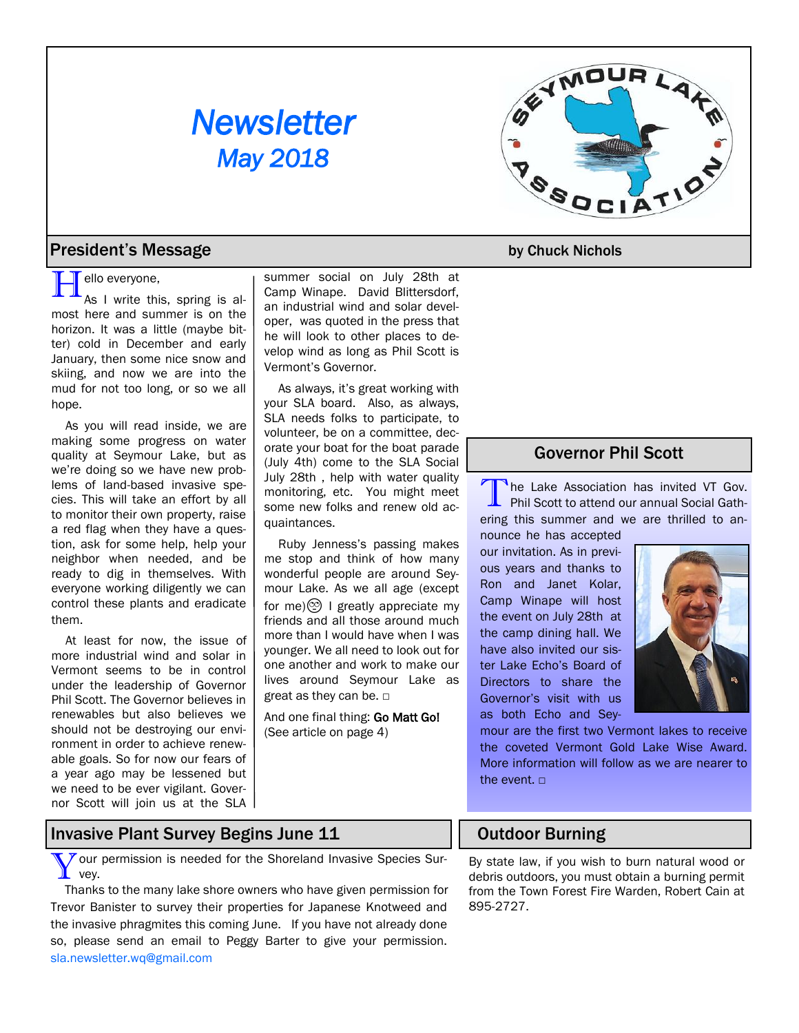# *Newsletter May 2018*



#### **President's Message by Chuck Nichols**

**H**ello everyone,<br>As I write this, spring is almost here and summer is on the horizon. It was a little (maybe bitter) cold in December and early January, then some nice snow and skiing, and now we are into the mud for not too long, or so we all hope.

As you will read inside, we are making some progress on water quality at Seymour Lake, but as we're doing so we have new problems of land-based invasive species. This will take an effort by all to monitor their own property, raise a red flag when they have a question, ask for some help, help your neighbor when needed, and be ready to dig in themselves. With everyone working diligently we can control these plants and eradicate them.

At least for now, the issue of more industrial wind and solar in Vermont seems to be in control under the leadership of Governor Phil Scott. The Governor believes in renewables but also believes we should not be destroying our environment in order to achieve renewable goals. So for now our fears of a year ago may be lessened but we need to be ever vigilant. Governor Scott will join us at the SLA

summer social on July 28th at Camp Winape. David Blittersdorf, an industrial wind and solar developer, was quoted in the press that he will look to other places to develop wind as long as Phil Scott is Vermont's Governor.

As always, it's great working with your SLA board. Also, as always, SLA needs folks to participate, to volunteer, be on a committee, decorate your boat for the boat parade (July 4th) come to the SLA Social July 28th , help with water quality monitoring, etc. You might meet some new folks and renew old acquaintances.

Ruby Jenness's passing makes me stop and think of how many wonderful people are around Seymour Lake. As we all age (except for me) $\circledcirc$  I greatly appreciate my friends and all those around much more than I would have when I was younger. We all need to look out for one another and work to make our lives around Seymour Lake as great as they can be. □

And one final thing: Go Matt Go! (See article on page 4)

## Governor Phil Scott

T he Lake Association has invited VT Gov. Phil Scott to attend our annual Social Gathering this summer and we are thrilled to an-

nounce he has accepted our invitation. As in previous years and thanks to Ron and Janet Kolar, Camp Winape will host the event on July 28th at the camp dining hall. We have also invited our sister Lake Echo's Board of Directors to share the Governor's visit with us as both Echo and Sey-



mour are the first two Vermont lakes to receive the coveted Vermont Gold Lake Wise Award. More information will follow as we are nearer to the event.  $□$ 

# Invasive Plant Survey Begins June 11

Your<br>
Your  $\overline{y}$  our permission is needed for the Shoreland Invasive Species Sur-

Thanks to the many lake shore owners who have given permission for Trevor Banister to survey their properties for Japanese Knotweed and the invasive phragmites this coming June. If you have not already done so, please send an email to Peggy Barter to give your permission. [sla.newsletter.wq@gmail.com](mailto:sla.newsletter.wq@gmail.com)

## Outdoor Burning

By state law, if you wish to burn natural wood or debris outdoors, you must obtain a burning permit from the Town Forest Fire Warden, Robert Cain at 895-2727.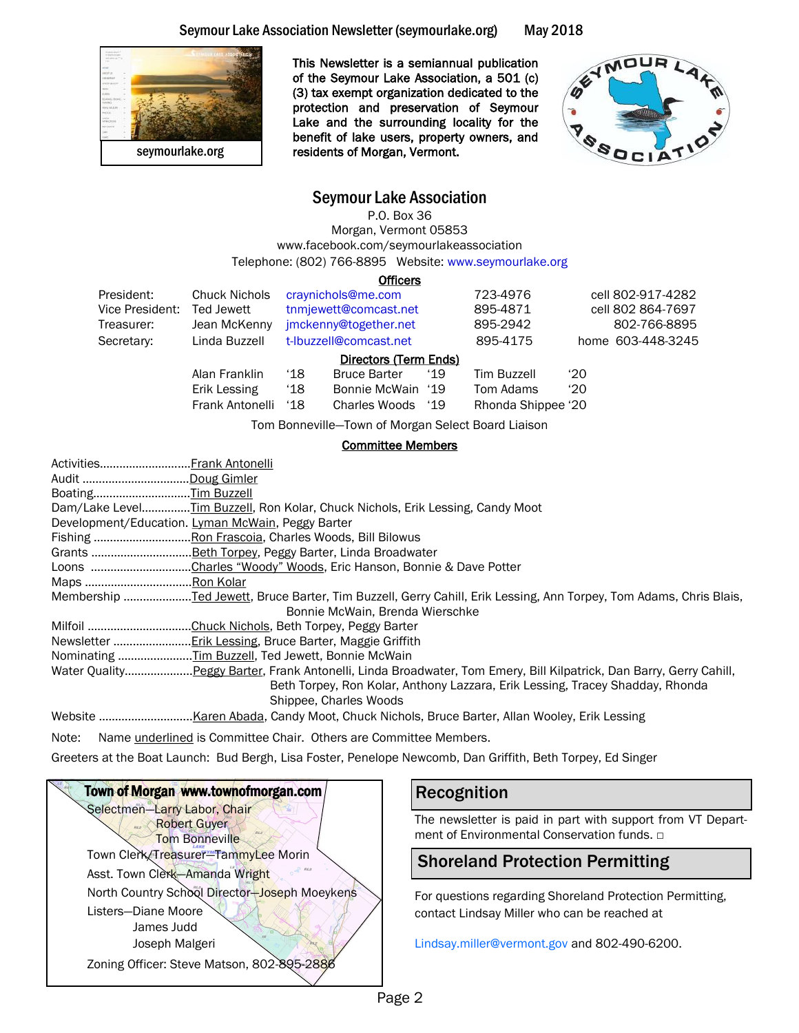#### Seymour Lake Association Newsletter (seymourlake.org) May 2018



This Newsletter is a semiannual publication of the Seymour Lake Association, a 501 (c) (3) tax exempt organization dedicated to the protection and preservation of Seymour Lake and the surrounding locality for the benefit of lake users, property owners, and residents of Morgan, Vermont.



#### Seymour Lake Association

P.O. Box 36 Morgan, Vermont 05853 www.facebook.com/seymourlakeassociation Telephone: (802) 766-8895 Website: www.seymourlake.org

**Officers** 

|                       |                      |                       | -------                                            |              |                    |                   |                   |  |
|-----------------------|----------------------|-----------------------|----------------------------------------------------|--------------|--------------------|-------------------|-------------------|--|
| President:            | <b>Chuck Nichols</b> | craynichols@me.com    |                                                    | 723-4976     |                    | cell 802-917-4282 |                   |  |
| Vice President:       | Ted Jewett           |                       | tnmjewett@comcast.net                              |              | 895-4871           |                   | cell 802 864-7697 |  |
| Treasurer:            | Jean McKenny         | jmckenny@together.net |                                                    | 895-2942     |                    | 802-766-8895      |                   |  |
| Secretary:            | Linda Buzzell        |                       | t-Ibuzzell@comcast.net                             |              | 895-4175           |                   | home 603-448-3245 |  |
| Directors (Term Ends) |                      |                       |                                                    |              |                    |                   |                   |  |
|                       | Alan Franklin        | $^{\circ}18$          | <b>Bruce Barter</b>                                | '19          | <b>Tim Buzzell</b> | $^{\prime}20$     |                   |  |
|                       | Erik Lessing         | ʻ18                   | Bonnie McWain '19                                  |              | Tom Adams          | $^{\prime}20$     |                   |  |
|                       | Frank Antonelli      | $^{\cdot 18}$         | Charles Woods                                      | $^{\circ}19$ | Rhonda Shippee '20 |                   |                   |  |
|                       |                      |                       | Tom Bonneville-Town of Morgan Select Board Liaison |              |                    |                   |                   |  |

Tom Bonneville—Town of Morgan Select Board Liaison

#### Committee Members

| ActivitiesFrank Antonelli                                                                                          |
|--------------------------------------------------------------------------------------------------------------------|
| Audit Doug Gimler                                                                                                  |
| BoatingTim Buzzell                                                                                                 |
| Dam/Lake LevelTim Buzzell, Ron Kolar, Chuck Nichols, Erik Lessing, Candy Moot                                      |
| Development/Education. Lyman McWain, Peggy Barter                                                                  |
|                                                                                                                    |
|                                                                                                                    |
| Loons Charles "Woody" Woods, Eric Hanson, Bonnie & Dave Potter                                                     |
| Maps Ron Kolar                                                                                                     |
|                                                                                                                    |
| Bonnie McWain, Brenda Wierschke                                                                                    |
|                                                                                                                    |
|                                                                                                                    |
| Nominating Tim Buzzell, Ted Jewett, Bonnie McWain                                                                  |
| Water QualityPeggy Barter, Frank Antonelli, Linda Broadwater, Tom Emery, Bill Kilpatrick, Dan Barry, Gerry Cahill, |
| Beth Torpey, Ron Kolar, Anthony Lazzara, Erik Lessing, Tracey Shadday, Rhonda                                      |
| Shippee, Charles Woods                                                                                             |
|                                                                                                                    |

Note: Name *underlined* is Committee Chair. Others are Committee Members.

Greeters at the Boat Launch: Bud Bergh, Lisa Foster, Penelope Newcomb, Dan Griffith, Beth Torpey, Ed Singer



## Recognition

The newsletter is paid in part with support from VT Department of Environmental Conservation funds. □

## Shoreland Protection Permitting

For questions regarding Shoreland Protection Permitting, contact Lindsay Miller who can be reached at

[Lindsay.miller@vermont.gov](mailto:Lindsay.miller@vermont.gov) and 802-490-6200.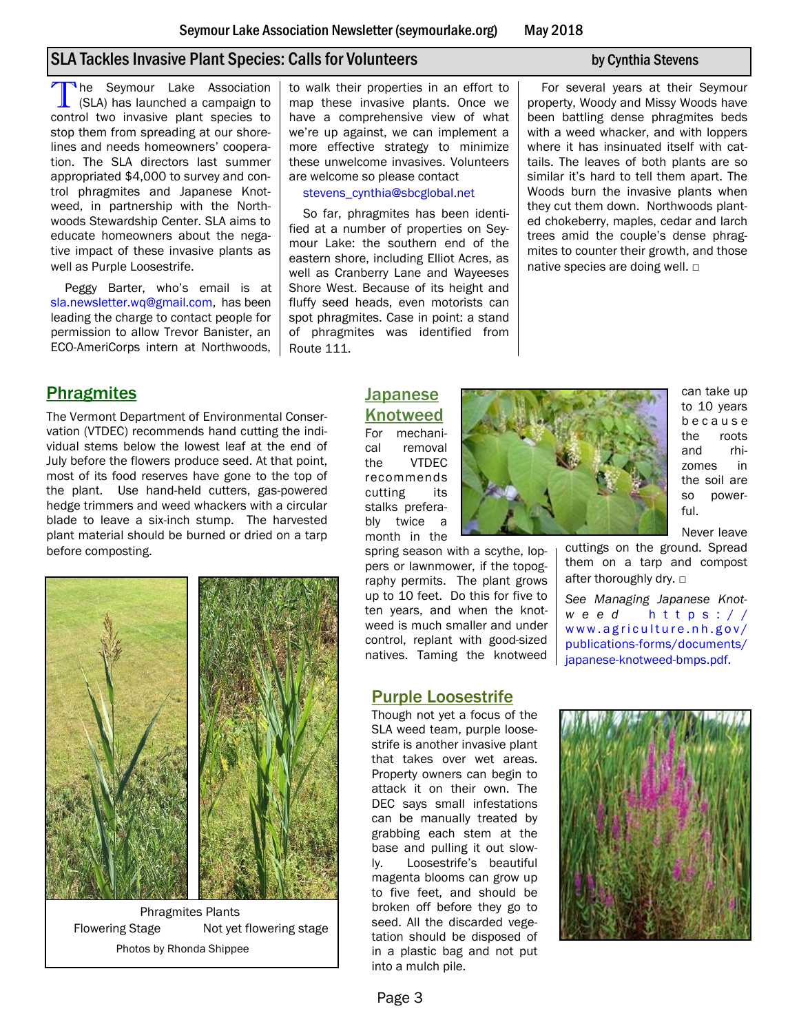## SLA Tackles Invasive Plant Species: Calls for Volunteers by Cynthia Stevens

The Seymour Lake Association<br>
(SLA) has launched a campaign to<br>
control two invasive plant species to The Seymour Lake Association (SLA) has launched a campaign to stop them from spreading at our shorelines and needs homeowners' cooperation. The SLA directors last summer appropriated \$4,000 to survey and control phragmites and Japanese Knotweed, in partnership with the Northwoods Stewardship Center. SLA aims to educate homeowners about the negative impact of these invasive plants as well as Purple Loosestrife.

Peggy Barter, who's email is at [sla.newsletter.wq@gmail.com,](sla) has been leading the charge to contact people for permission to allow Trevor Banister, an ECO-AmeriCorps intern at Northwoods, to walk their properties in an effort to map these invasive plants. Once we have a comprehensive view of what we're up against, we can implement a more effective strategy to minimize these unwelcome invasives. Volunteers are welcome so please contact

stevens\_cynthia@sbcglobal.net

So far, phragmites has been identified at a number of properties on Seymour Lake: the southern end of the eastern shore, including Elliot Acres, as well as Cranberry Lane and Wayeeses Shore West. Because of its height and fluffy seed heads, even motorists can spot phragmites. Case in point: a stand of phragmites was identified from Route 111.

For several years at their Seymour property, Woody and Missy Woods have been battling dense phragmites beds with a weed whacker, and with loppers where it has insinuated itself with cattails. The leaves of both plants are so similar it's hard to tell them apart. The Woods burn the invasive plants when they cut them down. Northwoods planted chokeberry, maples, cedar and larch trees amid the couple's dense phragmites to counter their growth, and those native species are doing well. □

### **Phragmites**

The Vermont Department of Environmental Conservation (VTDEC) recommends hand cutting the individual stems below the lowest leaf at the end of July before the flowers produce seed. At that point, most of its food reserves have gone to the top of the plant. Use hand-held cutters, gas-powered hedge trimmers and weed whackers with a circular blade to leave a six-inch stump. The harvested plant material should be burned or dried on a tarp before composting.



Phragmites Plants Flowering Stage Not yet flowering stage Photos by Rhonda Shippee

## Japanese Knotweed

For mechanical removal the VTDEC recommends cutting its stalks preferably twice a month in the

spring season with a scythe, loppers or lawnmower, if the topography permits. The plant grows up to 10 feet. Do this for five to ten years, and when the knotweed is much smaller and under control, replant with good-sized natives. Taming the knotweed

### Purple Loosestrife

Though not yet a focus of the SLA weed team, purple loosestrife is another invasive plant that takes over wet areas. Property owners can begin to attack it on their own. The DEC says small infestations can be manually treated by grabbing each stem at the base and pulling it out slowly. Loosestrife's beautiful magenta blooms can grow up to five feet, and should be broken off before they go to seed. All the discarded vegetation should be disposed of in a plastic bag and not put into a mulch pile.



can take up to 10 years b e c a u s e the roots and rhizomes in the soil are so powerful.

Never leave

cuttings on the ground. Spread them on a tarp and compost after thoroughly dry. □

*See Managing Japanese Knotw e e d* [h t t p s : / /](https://www.agriculture.nh.gov/publications-forms/documents/japanese-knotweed-bmps.pdf) www.agriculture.nh.gov/ [publications-forms/documents/](https://www.agriculture.nh.gov/publications-forms/documents/japanese-knotweed-bmps.pdf) [japanese-knotweed-bmps.pdf.](https://www.agriculture.nh.gov/publications-forms/documents/japanese-knotweed-bmps.pdf) 

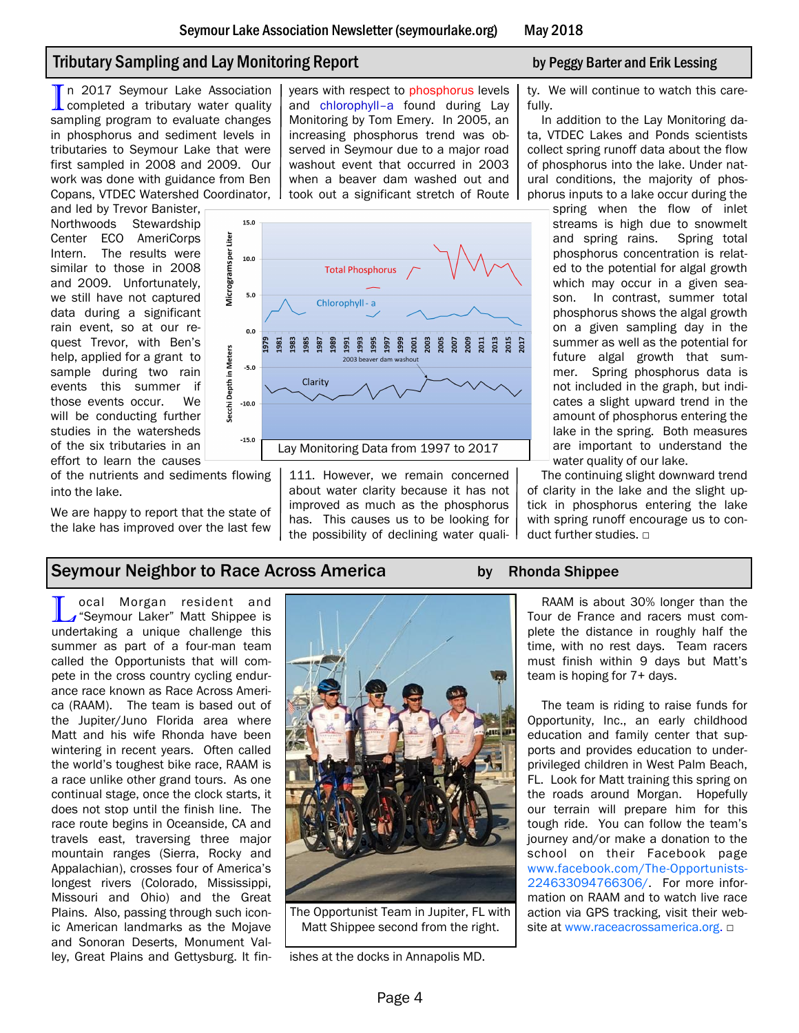# Tributary Sampling and Lay Monitoring Report by Peggy Barter and Erik Lessing

In 2017 Seymour Lake Association<br>completed a tributary water quality completed a tributary water quality sampling program to evaluate changes in phosphorus and sediment levels in tributaries to Seymour Lake that were first sampled in 2008 and 2009. Our work was done with guidance from Ben Copans, VTDEC Watershed Coordinator,

and led by Trevor Banister, Northwoods Stewardship Center ECO AmeriCorps Intern. The results were similar to those in 2008 and 2009. Unfortunately, we still have not captured data during a significant rain event, so at our request Trevor, with Ben's help, applied for a grant to sample during two rain events this summer if those events occur. We will be conducting further studies in the watersheds of the six tributaries in an effort to learn the causes

of the nutrients and sediments flowing into the lake.

We are happy to report that the state of the lake has improved over the last few

## Seymour Neighbor to Race Across America by Rhonda Shippee

**L** ocal Morgan resident and<br> **L** "Seymour Laker" Matt Shippee is<br>
undertaking a unique challenge this ocal Morgan resident and Seymour Laker" Matt Shippee is summer as part of a four-man team called the Opportunists that will compete in the cross country cycling endurance race known as Race Across America (RAAM). The team is based out of the Jupiter/Juno Florida area where Matt and his wife Rhonda have been wintering in recent years. Often called the world's toughest bike race, RAAM is a race unlike other grand tours. As one continual stage, once the clock starts, it does not stop until the finish line. The race route begins in Oceanside, CA and travels east, traversing three major mountain ranges (Sierra, Rocky and Appalachian), crosses four of America's longest rivers (Colorado, Mississippi, Missouri and Ohio) and the Great Plains. Also, passing through such iconic American landmarks as the Mojave and Sonoran Deserts, Monument Valyears with respect to phosphorus levels and chlorophyll–a found during Lay Monitoring by Tom Emery. In 2005, an increasing phosphorus trend was observed in Seymour due to a major road washout event that occurred in 2003 when a beaver dam washed out and took out a significant stretch of Route



111. However, we remain concerned about water clarity because it has not improved as much as the phosphorus has. This causes us to be looking for the possibility of declining water quali-

ty. We will continue to watch this carefully.

In addition to the Lay Monitoring data, VTDEC Lakes and Ponds scientists collect spring runoff data about the flow of phosphorus into the lake. Under natural conditions, the majority of phosphorus inputs to a lake occur during the

spring when the flow of inlet streams is high due to snowmelt and spring rains. Spring total phosphorus concentration is related to the potential for algal growth which may occur in a given season. In contrast, summer total phosphorus shows the algal growth on a given sampling day in the summer as well as the potential for future algal growth that summer. Spring phosphorus data is not included in the graph, but indicates a slight upward trend in the amount of phosphorus entering the lake in the spring. Both measures are important to understand the water quality of our lake.

The continuing slight downward trend of clarity in the lake and the slight uptick in phosphorus entering the lake with spring runoff encourage us to conduct further studies. □

RAAM is about 30% longer than the Tour de France and racers must complete the distance in roughly half the time, with no rest days. Team racers must finish within 9 days but Matt's team is hoping for 7+ days.

The team is riding to raise funds for Opportunity, Inc., an early childhood education and family center that supports and provides education to underprivileged children in West Palm Beach, FL. Look for Matt training this spring on the roads around Morgan. Hopefully our terrain will prepare him for this tough ride. You can follow the team's journey and/or make a donation to the school on their Facebook page [www.facebook.com/The-Opportunists-](http://www.facebook.com/The-Opportunists-224633094766306/)[224633094766306/.](http://www.facebook.com/The-Opportunists-224633094766306/) For more information on RAAM and to watch live race action via GPS tracking, visit their website at [www.raceacrossamerica.org.](http://www.raceacrossamerica.org) □

```
ley, Great Plains and Gettysburg. It fin- ishes at the docks in Annapolis MD.
```
The Opportunist Team in Jupiter, FL with Matt Shippee second from the right.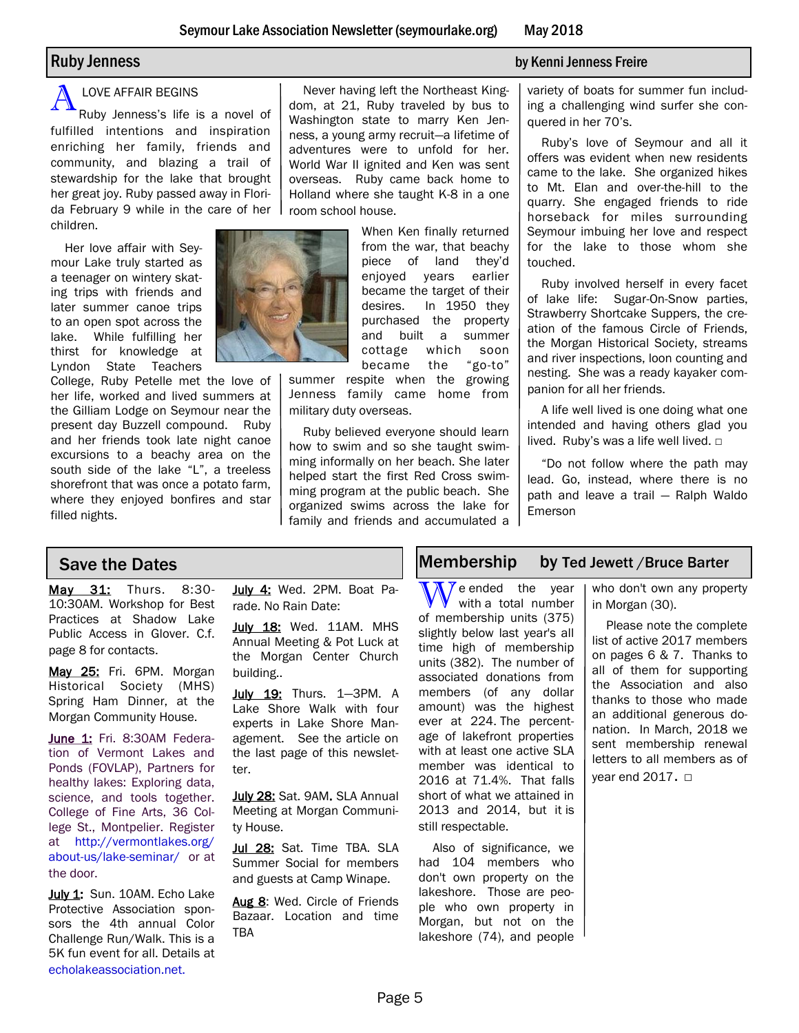#### LOVE AFFAIR BEGINS

A Ruby Jenness's life is a novel of fulfilled intentions and inspiration enriching her family, friends and community, and blazing a trail of stewardship for the lake that brought her great joy. Ruby passed away in Florida February 9 while in the care of her children.

Her love affair with Seymour Lake truly started as a teenager on wintery skating trips with friends and later summer canoe trips to an open spot across the lake. While fulfilling her thirst for knowledge at Lyndon State Teachers

College, Ruby Petelle met the love of her life, worked and lived summers at the Gilliam Lodge on Seymour near the present day Buzzell compound. Ruby and her friends took late night canoe excursions to a beachy area on the south side of the lake "L", a treeless shorefront that was once a potato farm, where they enjoyed bonfires and star filled nights.



Never having left the Northeast Kingdom, at 21, Ruby traveled by bus to Washington state to marry Ken Jenness, a young army recruit—a lifetime of adventures were to unfold for her. World War II ignited and Ken was sent overseas. Ruby came back home to Holland where she taught K-8 in a one room school house.

> When Ken finally returned from the war, that beachy piece of land they'd enjoyed years earlier became the target of their desires. In 1950 they purchased the property and built a summer cottage which soon became the "go-to"

summer respite when the growing Jenness family came home from military duty overseas.

Ruby believed everyone should learn how to swim and so she taught swimming informally on her beach. She later helped start the first Red Cross swimming program at the public beach. She organized swims across the lake for family and friends and accumulated a

#### Ruby Jenness by Kenni Jenness Freire

variety of boats for summer fun including a challenging wind surfer she conquered in her 70's.

Ruby's love of Seymour and all it offers was evident when new residents came to the lake. She organized hikes to Mt. Elan and over-the-hill to the quarry. She engaged friends to ride horseback for miles surrounding Seymour imbuing her love and respect for the lake to those whom she touched.

Ruby involved herself in every facet of lake life: Sugar-On-Snow parties, Strawberry Shortcake Suppers, the creation of the famous Circle of Friends, the Morgan Historical Society, streams and river inspections, loon counting and nesting. She was a ready kayaker companion for all her friends.

A life well lived is one doing what one intended and having others glad you lived. Ruby's was a life well lived.  $□$ 

"Do not follow where the path may lead. Go, instead, where there is no path and leave a trail — Ralph Waldo Emerson

May 31: Thurs. 8:30- 10:30AM. Workshop for Best Practices at Shadow Lake Public Access in Glover. C.f. page 8 for contacts.

May 25: Fri. 6PM. Morgan Historical Society (MHS) Spring Ham Dinner, at the Morgan Community House.

June 1: Fri. 8:30AM Federation of Vermont Lakes and Ponds (FOVLAP), Partners for healthy lakes: Exploring data, science, and tools together. College of Fine Arts, 36 College St., Montpelier. Register at [http://vermontlakes.org/](http://www.vermontlakes.org) [about-us/lake-seminar/ o](http://www.vermontlakes.org)r at the door.

July 1: Sun. 10AM. Echo Lake Protective Association sponsors the 4th annual Color Challenge Run/Walk. This is a 5K fun event for all. Details at echolakeassociation.net.

July 4: Wed. 2PM. Boat Parade. No Rain Date:

July 18: Wed. 11AM. MHS Annual Meeting & Pot Luck at the Morgan Center Church building..

July 19: Thurs. 1-3PM. A Lake Shore Walk with four experts in Lake Shore Management. See the article on the last page of this newsletter.

July 28: Sat. 9AM. SLA Annual Meeting at Morgan Community House.

Jul 28: Sat. Time TBA. SLA Summer Social for members and guests at Camp Winape.

Aug 8: Wed. Circle of Friends Bazaar. Location and time TBA

## Save the Dates Membership by Ted Jewett /Bruce Barter

 $\sqrt{\Lambda}$  e ended the year with a total number of membership units (375) slightly below last year's all time high of membership units (382). The number of associated donations from members (of any dollar amount) was the highest ever at 224. The percentage of lakefront properties with at least one active SLA member was identical to 2016 at 71.4%. That falls short of what we attained in 2013 and 2014, but it is still respectable.

Also of significance, we had 104 members who don't own property on the lakeshore. Those are people who own property in Morgan, but not on the lakeshore (74), and people

who don't own any property in Morgan (30).

Please note the complete list of active 2017 members on pages 6 & 7. Thanks to all of them for supporting the Association and also thanks to those who made an additional generous donation. In March, 2018 we sent membership renewal letters to all members as of year end 2017. □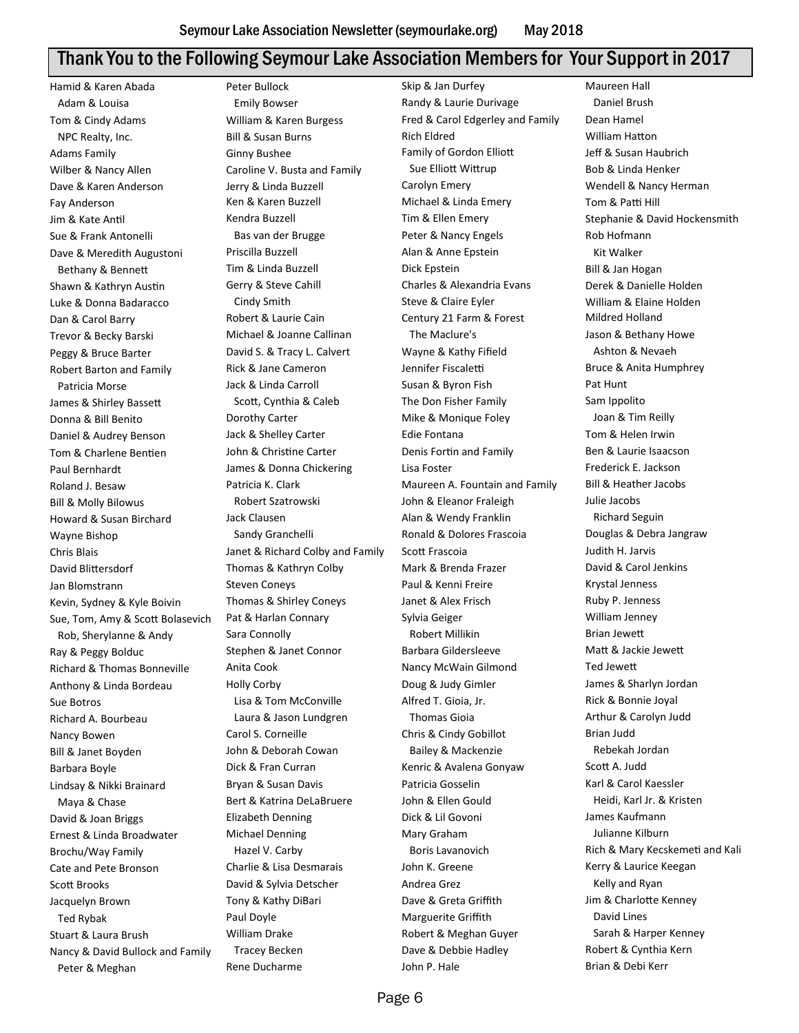# Thank You to the Following Seymour Lake Association Members for Your Support in 2017

Hamid & Karen Abada Adam & Louisa Tom & Cindy Adams NPC Realty, Inc. Adams Family Wilber & Nancy Allen Dave & Karen Anderson Fay Anderson Jim & Kate Antil Sue & Frank Antonelli Dave & Meredith Augustoni Bethany & Bennett Shawn & Kathryn Austin Luke & Donna Badaracco Dan & Carol Barry Trevor & Becky Barski Peggy & Bruce Barter Robert Barton and Family Patricia Morse James & Shirley Bassett Donna & Bill Benito Daniel & Audrey Benson Tom & Charlene Bentien Paul Bernhardt Roland J. Besaw Bill & Molly Bilowus Howard & Susan Birchard Wayne Bishop Chris Blais David Blittersdorf Jan Blomstrann Kevin, Sydney & Kyle Boivin Sue, Tom, Amy & Scott Bolasevich Rob, Sherylanne & Andy Ray & Peggy Bolduc Richard & Thomas Bonneville Anthony & Linda Bordeau Sue Botros Richard A. Bourbeau Nancy Bowen Bill & Janet Boyden Barbara Boyle Lindsay & Nikki Brainard Maya & Chase David & Joan Briggs Ernest & Linda Broadwater Brochu/Way Family Cate and Pete Bronson Scott Brooks Jacquelyn Brown Ted Rybak Stuart & Laura Brush Nancy & David Bullock and Family Peter & Meghan

Peter Bullock Emily Bowser William & Karen Burgess Bill & Susan Burns Ginny Bushee Caroline V. Busta and Family Jerry & Linda Buzzell Ken & Karen Buzzell Kendra Buzzell Bas van der Brugge Priscilla Buzzell Tim & Linda Buzzell Gerry & Steve Cahill Cindy Smith Robert & Laurie Cain Michael & Joanne Callinan David S. & Tracy L. Calvert Rick & Jane Cameron Jack & Linda Carroll Scott, Cynthia & Caleb Dorothy Carter Jack & Shelley Carter John & Christine Carter James & Donna Chickering Patricia K. Clark Robert Szatrowski Jack Clausen Sandy Granchelli Janet & Richard Colby and Family Thomas & Kathryn Colby Steven Coneys Thomas & Shirley Coneys Pat & Harlan Connary Sara Connolly Stephen & Janet Connor Anita Cook Holly Corby Lisa & Tom McConville Laura & Jason Lundgren Carol S. Corneille John & Deborah Cowan Dick & Fran Curran Bryan & Susan Davis Bert & Katrina DeLaBruere Elizabeth Denning Michael Denning Hazel V. Carby Charlie & Lisa Desmarais David & Sylvia Detscher Tony & Kathy DiBari Paul Doyle William Drake Tracey Becken Rene Ducharme

Skip & Jan Durfey Randy & Laurie Durivage Fred & Carol Edgerley and Family Rich Eldred Family of Gordon Elliott Sue Elliott Wittrup Carolyn Emery Michael & Linda Emery Tim & Ellen Emery Peter & Nancy Engels Alan & Anne Epstein Dick Epstein Charles & Alexandria Evans Steve & Claire Eyler Century 21 Farm & Forest The Maclure's Wayne & Kathy Fifield Jennifer Fiscaletti Susan & Byron Fish The Don Fisher Family Mike & Monique Foley Edie Fontana Denis Fortin and Family Lisa Foster Maureen A. Fountain and Family John & Eleanor Fraleigh Alan & Wendy Franklin Ronald & Dolores Frascoia Scott Frascoia Mark & Brenda Frazer Paul & Kenni Freire Janet & Alex Frisch Sylvia Geiger Robert Millikin Barbara Gildersleeve Nancy McWain Gilmond Doug & Judy Gimler Alfred T. Gioia, Jr. Thomas Gioia Chris & Cindy Gobillot Bailey & Mackenzie Kenric & Avalena Gonyaw Patricia Gosselin John & Ellen Gould Dick & Lil Govoni Mary Graham Boris Lavanovich John K. Greene Andrea Grez Dave & Greta Griffith Marguerite Griffith Robert & Meghan Guyer Dave & Debbie Hadley John P. Hale

Maureen Hall Daniel Brush Dean Hamel William Hatton Jeff & Susan Haubrich Bob & Linda Henker Wendell & Nancy Herman Tom & Patti Hill Stephanie & David Hockensmith Rob Hofmann Kit Walker Bill & Jan Hogan Derek & Danielle Holden William & Elaine Holden Mildred Holland Jason & Bethany Howe Ashton & Nevaeh Bruce & Anita Humphrey Pat Hunt Sam Ippolito Joan & Tim Reilly Tom & Helen Irwin Ben & Laurie Isaacson Frederick E. Jackson Bill & Heather Jacobs Julie Jacobs Richard Seguin Douglas & Debra Jangraw Judith H. Jarvis David & Carol Jenkins Krystal Jenness Ruby P. Jenness William Jenney Brian Jewett Matt & Jackie Jewett Ted Jewett James & Sharlyn Jordan Rick & Bonnie Joyal Arthur & Carolyn Judd Brian Judd Rebekah Jordan Scott A. Judd Karl & Carol Kaessler Heidi, Karl Jr. & Kristen James Kaufmann Julianne Kilburn Rich & Mary Kecskemeti and Kali Kerry & Laurice Keegan Kelly and Ryan Jim & Charlotte Kenney David Lines Sarah & Harper Kenney Robert & Cynthia Kern Brian & Debi Kerr

Page 6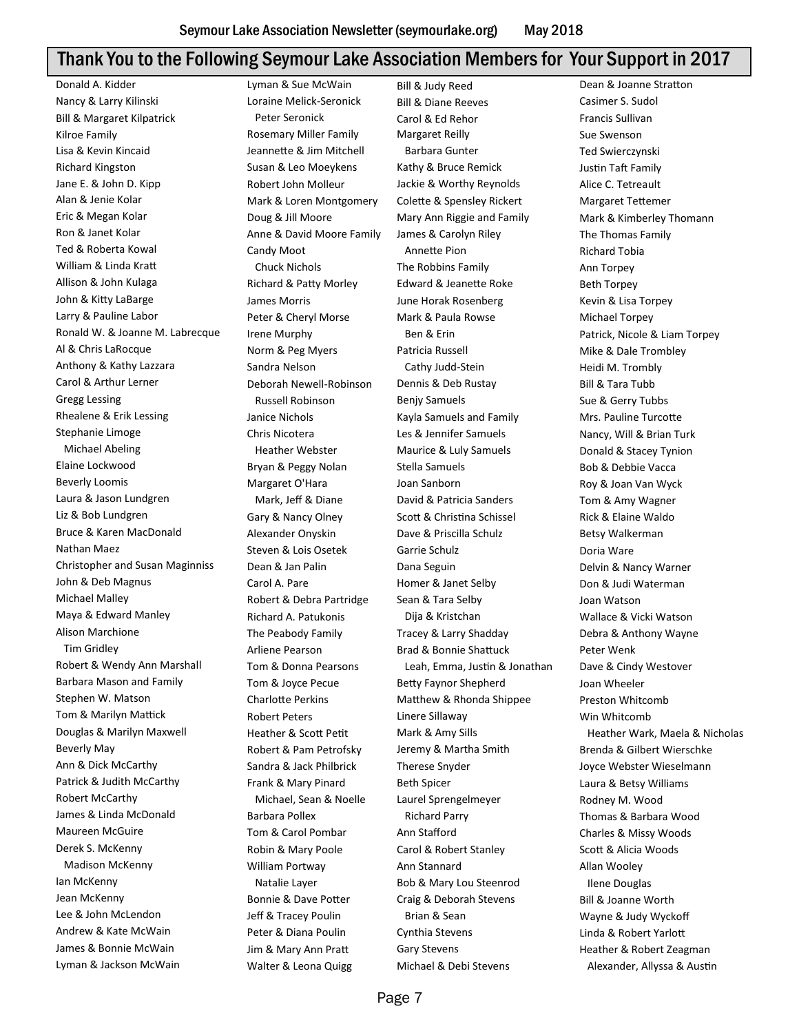# Thank You to the Following Seymour Lake Association Members for Your Support in 2017

Donald A. Kidder Nancy & Larry Kilinski Bill & Margaret Kilpatrick Kilroe Family Lisa & Kevin Kincaid Richard Kingston Jane E. & John D. Kipp Alan & Jenie Kolar Eric & Megan Kolar Ron & Janet Kolar Ted & Roberta Kowal William & Linda Kratt Allison & John Kulaga John & Kitty LaBarge Larry & Pauline Labor Ronald W. & Joanne M. Labrecque Al & Chris LaRocque Anthony & Kathy Lazzara Carol & Arthur Lerner Gregg Lessing Rhealene & Erik Lessing Stephanie Limoge Michael Abeling Elaine Lockwood Beverly Loomis Laura & Jason Lundgren Liz & Bob Lundgren Bruce & Karen MacDonald Nathan Maez Christopher and Susan Maginniss John & Deb Magnus Michael Malley Maya & Edward Manley Alison Marchione Tim Gridley Robert & Wendy Ann Marshall Barbara Mason and Family Stephen W. Matson Tom & Marilyn Mattick Douglas & Marilyn Maxwell Beverly May Ann & Dick McCarthy Patrick & Judith McCarthy Robert McCarthy James & Linda McDonald Maureen McGuire Derek S. McKenny Madison McKenny Ian McKenny Jean McKenny Lee & John McLendon Andrew & Kate McWain James & Bonnie McWain Lyman & Jackson McWain

Lyman & Sue McWain Loraine Melick-Seronick Peter Seronick Rosemary Miller Family Jeannette & Jim Mitchell Susan & Leo Moeykens Robert John Molleur Mark & Loren Montgomery Doug & Jill Moore Anne & David Moore Family Candy Moot Chuck Nichols Richard & Patty Morley James Morris Peter & Cheryl Morse Irene Murphy Norm & Peg Myers Sandra Nelson Deborah Newell-Robinson Russell Robinson Janice Nichols Chris Nicotera Heather Webster Bryan & Peggy Nolan Margaret O'Hara Mark, Jeff & Diane Gary & Nancy Olney Alexander Onyskin Steven & Lois Osetek Dean & Jan Palin Carol A. Pare Robert & Debra Partridge Richard A. Patukonis The Peabody Family Arliene Pearson Tom & Donna Pearsons Tom & Joyce Pecue Charlotte Perkins Robert Peters Heather & Scott Petit Robert & Pam Petrofsky Sandra & Jack Philbrick Frank & Mary Pinard Michael, Sean & Noelle Barbara Pollex Tom & Carol Pombar Robin & Mary Poole William Portway Natalie Layer Bonnie & Dave Potter Jeff & Tracey Poulin Peter & Diana Poulin Jim & Mary Ann Pratt Walter & Leona Quigg

Bill & Judy Reed Bill & Diane Reeves Carol & Ed Rehor Margaret Reilly Barbara Gunter Kathy & Bruce Remick Jackie & Worthy Reynolds Colette & Spensley Rickert Mary Ann Riggie and Family James & Carolyn Riley Annette Pion The Robbins Family Edward & Jeanette Roke June Horak Rosenberg Mark & Paula Rowse Ben & Erin Patricia Russell Cathy Judd-Stein Dennis & Deb Rustay Benjy Samuels Kayla Samuels and Family Les & Jennifer Samuels Maurice & Luly Samuels Stella Samuels Joan Sanborn David & Patricia Sanders Scott & Christina Schissel Dave & Priscilla Schulz Garrie Schulz Dana Seguin Homer & Janet Selby Sean & Tara Selby Dija & Kristchan Tracey & Larry Shadday Brad & Bonnie Shattuck Leah, Emma, Justin & Jonathan Betty Faynor Shepherd Matthew & Rhonda Shippee Linere Sillaway Mark & Amy Sills Jeremy & Martha Smith Therese Snyder Beth Spicer Laurel Sprengelmeyer Richard Parry Ann Stafford Carol & Robert Stanley Ann Stannard Bob & Mary Lou Steenrod Craig & Deborah Stevens Brian & Sean Cynthia Stevens Gary Stevens Michael & Debi Stevens

Dean & Joanne Stratton Casimer S. Sudol Francis Sullivan Sue Swenson Ted Swierczynski Justin Taft Family Alice C. Tetreault Margaret Tettemer Mark & Kimberley Thomann The Thomas Family Richard Tobia Ann Torpey Beth Torpey Kevin & Lisa Torpey Michael Torpey Patrick, Nicole & Liam Torpey Mike & Dale Trombley Heidi M. Trombly Bill & Tara Tubb Sue & Gerry Tubbs Mrs. Pauline Turcotte Nancy, Will & Brian Turk Donald & Stacey Tynion Bob & Debbie Vacca Roy & Joan Van Wyck Tom & Amy Wagner Rick & Elaine Waldo Betsy Walkerman Doria Ware Delvin & Nancy Warner Don & Judi Waterman Joan Watson Wallace & Vicki Watson Debra & Anthony Wayne Peter Wenk Dave & Cindy Westover Joan Wheeler Preston Whitcomb Win Whitcomb Heather Wark, Maela & Nicholas Brenda & Gilbert Wierschke Joyce Webster Wieselmann Laura & Betsy Williams Rodney M. Wood Thomas & Barbara Wood Charles & Missy Woods Scott & Alicia Woods Allan Wooley Ilene Douglas Bill & Joanne Worth Wayne & Judy Wyckoff Linda & Robert Yarlott Heather & Robert Zeagman Alexander, Allyssa & Austin